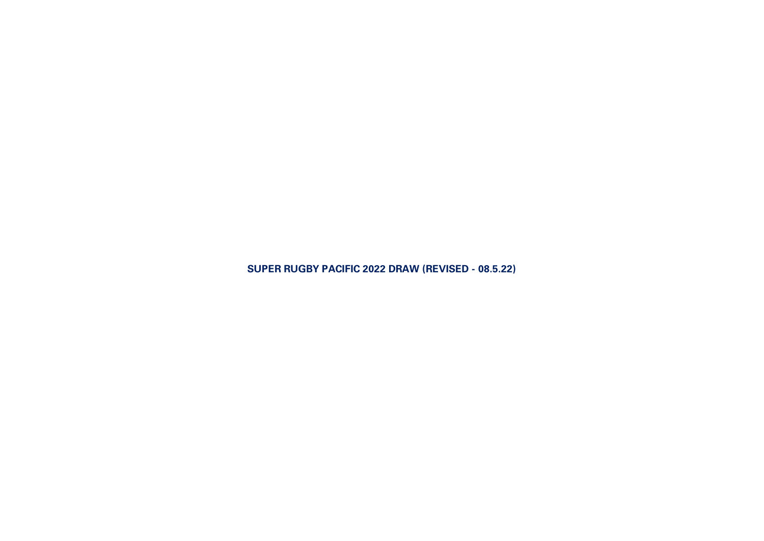**SUPER RUGBY PACIFIC 2022 DRAW (REVISED - 08.5.22)**